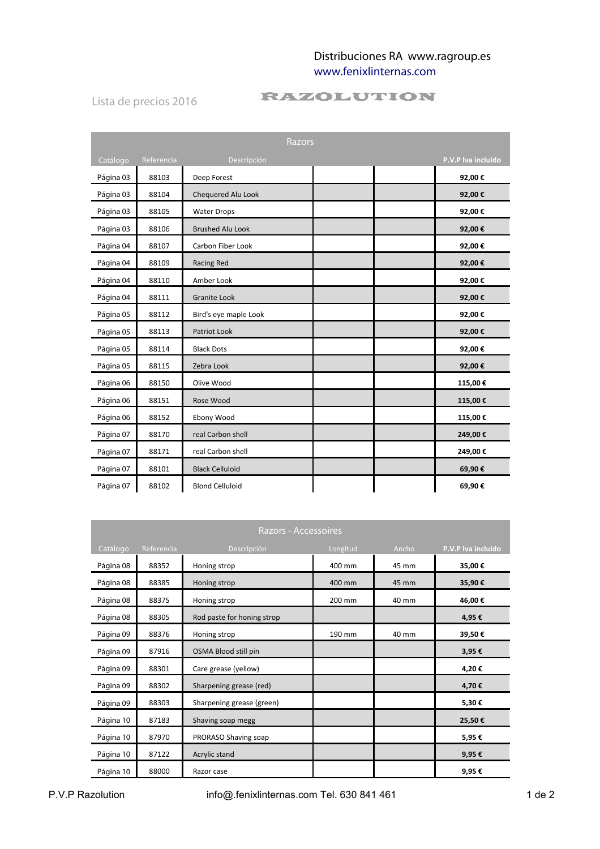## Distribuciones RA www.ragroup.es [www.fenixlinternas.com](http://www.fenixlinternas.com/)

Lista de precios 2016

## **RAZOLUTION**

| <b>Razors</b> |            |                         |  |                    |
|---------------|------------|-------------------------|--|--------------------|
| Catálogo      | Referencia | Descripción             |  | P.V.P Iva incluido |
| Página 03     | 88103      | Deep Forest             |  | 92,00€             |
| Página 03     | 88104      | Chequered Alu Look      |  | 92,00€             |
| Página 03     | 88105      | <b>Water Drops</b>      |  | 92,00€             |
| Página 03     | 88106      | <b>Brushed Alu Look</b> |  | 92,00€             |
| Página 04     | 88107      | Carbon Fiber Look       |  | 92,00€             |
| Página 04     | 88109      | Racing Red              |  | 92,00€             |
| Página 04     | 88110      | Amber Look              |  | 92,00€             |
| Página 04     | 88111      | <b>Granite Look</b>     |  | 92,00€             |
| Página 05     | 88112      | Bird's eye maple Look   |  | 92,00€             |
| Página 05     | 88113      | Patriot Look            |  | 92,00€             |
| Página 05     | 88114      | <b>Black Dots</b>       |  | 92,00€             |
| Página 05     | 88115      | Zebra Look              |  | 92,00€             |
| Página 06     | 88150      | Olive Wood              |  | 115,00€            |
| Página 06     | 88151      | Rose Wood               |  | 115,00€            |
| Página 06     | 88152      | Ebony Wood              |  | 115,00€            |
| Página 07     | 88170      | real Carbon shell       |  | 249,00€            |
| Página 07     | 88171      | real Carbon shell       |  | 249,00€            |
| Página 07     | 88101      | <b>Black Celluloid</b>  |  | 69,90€             |
| Página 07     | 88102      | <b>Blond Celluloid</b>  |  | 69,90€             |

| <b>Razors - Accessoires</b> |            |                            |          |       |                    |
|-----------------------------|------------|----------------------------|----------|-------|--------------------|
| Catálogo                    | Referencia | Descripción                | Longitud | Ancho | P.V.P Iva incluido |
| Página 08                   | 88352      | Honing strop               | 400 mm   | 45 mm | 35,00€             |
| Página 08                   | 88385      | Honing strop               | 400 mm   | 45 mm | 35,90€             |
| Página 08                   | 88375      | Honing strop               | 200 mm   | 40 mm | 46,00€             |
| Página 08                   | 88305      | Rod paste for honing strop |          |       | 4,95€              |
| Página 09                   | 88376      | Honing strop               | 190 mm   | 40 mm | 39,50€             |
| Página 09                   | 87916      | OSMA Blood still pin       |          |       | 3,95€              |
| Página 09                   | 88301      | Care grease (yellow)       |          |       | 4,20€              |
| Página 09                   | 88302      | Sharpening grease (red)    |          |       | 4,70€              |
| Página 09                   | 88303      | Sharpening grease (green)  |          |       | 5,30€              |
| Página 10                   | 87183      | Shaving soap megg          |          |       | 25,50€             |
| Página 10                   | 87970      | PRORASO Shaving soap       |          |       | 5,95€              |
| Página 10                   | 87122      | Acrylic stand              |          |       | 9,95€              |
| Página 10                   | 88000      | Razor case                 |          |       | 9,95€              |